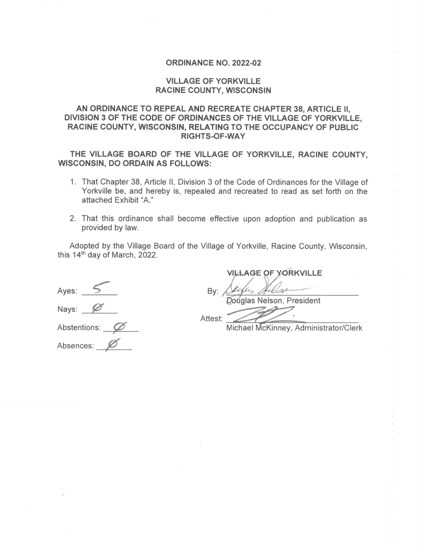#### **ORDINANCE NO. 2022-02**

## **VILLAGE OF YORKVILLE RACINE COUNTY, WISCONSIN**

# AN ORDINANCE TO REPEAL AND RECREATE CHAPTER 38, ARTICLE II, DIVISION 3 OF THE CODE OF ORDINANCES OF THE VILLAGE OF YORKVILLE, RACINE COUNTY, WISCONSIN, RELATING TO THE OCCUPANCY OF PUBLIC **RIGHTS-OF-WAY**

THE VILLAGE BOARD OF THE VILLAGE OF YORKVILLE, RACINE COUNTY, **WISCONSIN, DO ORDAIN AS FOLLOWS:** 

- 1. That Chapter 38, Article II, Division 3 of the Code of Ordinances for the Village of Yorkville be, and hereby is, repealed and recreated to read as set forth on the attached Exhibit "A."
- 2. That this ordinance shall become effective upon adoption and publication as provided by law.

Adopted by the Village Board of the Village of Yorkville, Racine County, Wisconsin, this 14<sup>th</sup> day of March, 2022.

Ayes:  $5$ Nays: Ø Abstentions:  $\oslash$ 

Absences:

**VILLAGE OF YORKVILLE** 

Bv:

Doúglas Nelson, President

Attest:

Michael McKinney, Administrator/Clerk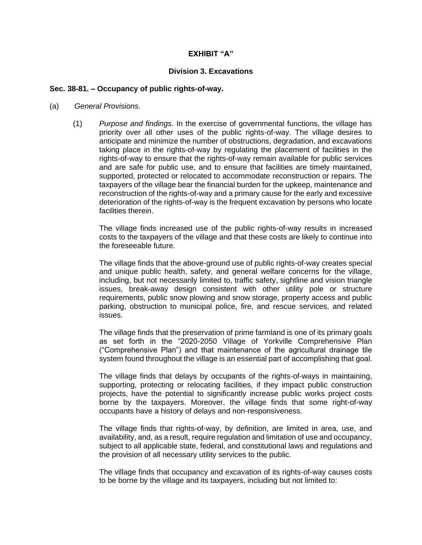### **EXHIBIT "A"**

### **Division 3. Excavations**

#### **Sec. 38-81. – Occupancy of public rights-of-way.**

- (a) *General Provisions.*
	- (1) *Purpose and findings.* In the exercise of governmental functions, the village has priority over all other uses of the public rights-of-way. The village desires to anticipate and minimize the number of obstructions, degradation, and excavations taking place in the rights-of-way by regulating the placement of facilities in the rights-of-way to ensure that the rights-of-way remain available for public services and are safe for public use, and to ensure that facilities are timely maintained, supported, protected or relocated to accommodate reconstruction or repairs. The taxpayers of the village bear the financial burden for the upkeep, maintenance and reconstruction of the rights-of-way and a primary cause for the early and excessive deterioration of the rights-of-way is the frequent excavation by persons who locate facilities therein.

The village finds increased use of the public rights-of-way results in increased costs to the taxpayers of the village and that these costs are likely to continue into the foreseeable future.

The village finds that the above-ground use of public rights-of-way creates special and unique public health, safety, and general welfare concerns for the village, including, but not necessarily limited to, traffic safety, sightline and vision triangle issues, break-away design consistent with other utility pole or structure requirements, public snow plowing and snow storage, property access and public parking, obstruction to municipal police, fire, and rescue services, and related issues.

The village finds that the preservation of prime farmland is one of its primary goals as set forth in the "2020-2050 Village of Yorkville Comprehensive Plan ("Comprehensive Plan") and that maintenance of the agricultural drainage tile system found throughout the village is an essential part of accomplishing that goal.

The village finds that delays by occupants of the rights-of-ways in maintaining, supporting, protecting or relocating facilities, if they impact public construction projects, have the potential to significantly increase public works project costs borne by the taxpayers. Moreover, the village finds that some right-of-way occupants have a history of delays and non-responsiveness.

The village finds that rights-of-way, by definition, are limited in area, use, and availability, and, as a result, require regulation and limitation of use and occupancy, subject to all applicable state, federal, and constitutional laws and regulations and the provision of all necessary utility services to the public.

The village finds that occupancy and excavation of its rights-of-way causes costs to be borne by the village and its taxpayers, including but not limited to: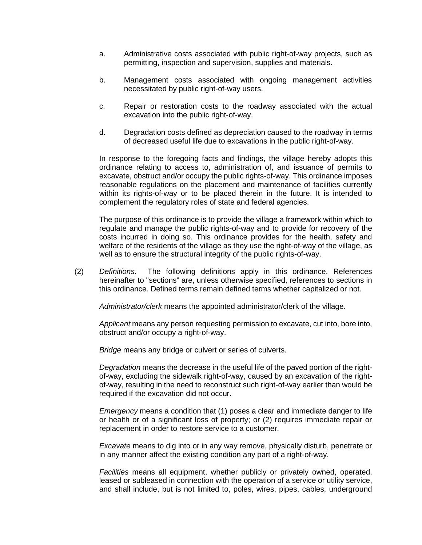- a. Administrative costs associated with public right-of-way projects, such as permitting, inspection and supervision, supplies and materials.
- b. Management costs associated with ongoing management activities necessitated by public right-of-way users.
- c. Repair or restoration costs to the roadway associated with the actual excavation into the public right-of-way.
- d. Degradation costs defined as depreciation caused to the roadway in terms of decreased useful life due to excavations in the public right-of-way.

In response to the foregoing facts and findings, the village hereby adopts this ordinance relating to access to, administration of, and issuance of permits to excavate, obstruct and/or occupy the public rights-of-way. This ordinance imposes reasonable regulations on the placement and maintenance of facilities currently within its rights-of-way or to be placed therein in the future. It is intended to complement the regulatory roles of state and federal agencies.

The purpose of this ordinance is to provide the village a framework within which to regulate and manage the public rights-of-way and to provide for recovery of the costs incurred in doing so. This ordinance provides for the health, safety and welfare of the residents of the village as they use the right-of-way of the village, as well as to ensure the structural integrity of the public rights-of-way.

(2) *Definitions.* The following definitions apply in this ordinance. References hereinafter to "sections" are, unless otherwise specified, references to sections in this ordinance. Defined terms remain defined terms whether capitalized or not.

*Administrator/clerk* means the appointed administrator/clerk of the village.

*Applicant* means any person requesting permission to excavate, cut into, bore into, obstruct and/or occupy a right-of-way.

*Bridge* means any bridge or culvert or series of culverts.

*Degradation* means the decrease in the useful life of the paved portion of the rightof-way, excluding the sidewalk right-of-way, caused by an excavation of the rightof-way, resulting in the need to reconstruct such right-of-way earlier than would be required if the excavation did not occur.

*Emergency* means a condition that (1) poses a clear and immediate danger to life or health or of a significant loss of property; or (2) requires immediate repair or replacement in order to restore service to a customer.

*Excavate* means to dig into or in any way remove, physically disturb, penetrate or in any manner affect the existing condition any part of a right-of-way.

*Facilities* means all equipment, whether publicly or privately owned, operated, leased or subleased in connection with the operation of a service or utility service, and shall include, but is not limited to, poles, wires, pipes, cables, underground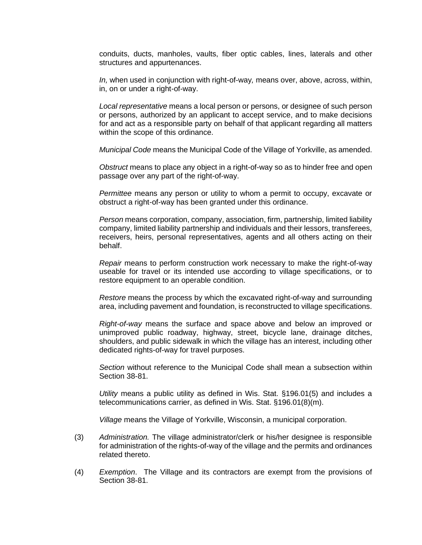conduits, ducts, manholes, vaults, fiber optic cables, lines, laterals and other structures and appurtenances.

*In,* when used in conjunction with right-of-way*,* means over, above, across, within, in, on or under a right-of-way.

*Local representative* means a local person or persons, or designee of such person or persons, authorized by an applicant to accept service, and to make decisions for and act as a responsible party on behalf of that applicant regarding all matters within the scope of this ordinance.

*Municipal Code* means the Municipal Code of the Village of Yorkville, as amended.

*Obstruct* means to place any object in a right-of-way so as to hinder free and open passage over any part of the right-of-way.

*Permittee* means any person or utility to whom a permit to occupy, excavate or obstruct a right-of-way has been granted under this ordinance.

*Person* means corporation, company, association, firm, partnership, limited liability company, limited liability partnership and individuals and their lessors, transferees, receivers, heirs, personal representatives, agents and all others acting on their behalf.

*Repair* means to perform construction work necessary to make the right-of-way useable for travel or its intended use according to village specifications, or to restore equipment to an operable condition.

*Restore* means the process by which the excavated right-of-way and surrounding area, including pavement and foundation, is reconstructed to village specifications.

*Right-of-way* means the surface and space above and below an improved or unimproved public roadway, highway, street, bicycle lane, drainage ditches, shoulders, and public sidewalk in which the village has an interest, including other dedicated rights-of-way for travel purposes.

*Section* without reference to the Municipal Code shall mean a subsection within Section 38-81.

*Utility* means a public utility as defined in Wis. Stat. §196.01(5) and includes a telecommunications carrier, as defined in Wis. Stat. §196.01(8)(m).

*Village* means the Village of Yorkville, Wisconsin, a municipal corporation.

- (3) *Administration.* The village administrator/clerk or his/her designee is responsible for administration of the rights-of-way of the village and the permits and ordinances related thereto.
- (4) *Exemption*. The Village and its contractors are exempt from the provisions of Section 38-81.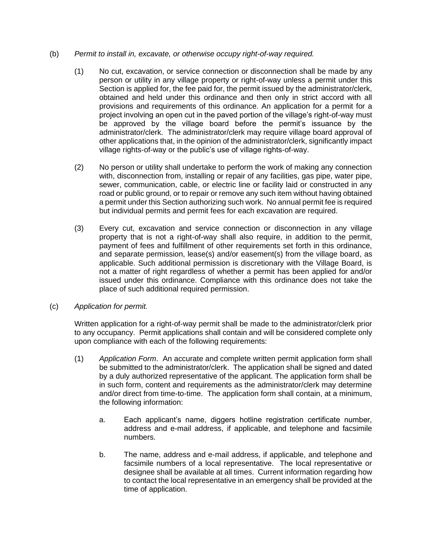## (b) *Permit to install in, excavate, or otherwise occupy right-of-way required.*

- (1) No cut, excavation, or service connection or disconnection shall be made by any person or utility in any village property or right-of-way unless a permit under this Section is applied for, the fee paid for, the permit issued by the administrator/clerk, obtained and held under this ordinance and then only in strict accord with all provisions and requirements of this ordinance. An application for a permit for a project involving an open cut in the paved portion of the village's right-of-way must be approved by the village board before the permit's issuance by the administrator/clerk. The administrator/clerk may require village board approval of other applications that, in the opinion of the administrator/clerk, significantly impact village rights-of-way or the public's use of village rights-of-way.
- (2) No person or utility shall undertake to perform the work of making any connection with, disconnection from, installing or repair of any facilities, gas pipe, water pipe, sewer, communication, cable, or electric line or facility laid or constructed in any road or public ground, or to repair or remove any such item without having obtained a permit under this Section authorizing such work. No annual permit fee is required but individual permits and permit fees for each excavation are required.
- (3) Every cut, excavation and service connection or disconnection in any village property that is not a right-of-way shall also require, in addition to the permit, payment of fees and fulfillment of other requirements set forth in this ordinance, and separate permission, lease(s) and/or easement(s) from the village board, as applicable. Such additional permission is discretionary with the Village Board, is not a matter of right regardless of whether a permit has been applied for and/or issued under this ordinance. Compliance with this ordinance does not take the place of such additional required permission.
- (c) *Application for permit.*

Written application for a right-of-way permit shall be made to the administrator/clerk prior to any occupancy. Permit applications shall contain and will be considered complete only upon compliance with each of the following requirements:

- (1) *Application Form*. An accurate and complete written permit application form shall be submitted to the administrator/clerk. The application shall be signed and dated by a duly authorized representative of the applicant. The application form shall be in such form, content and requirements as the administrator/clerk may determine and/or direct from time-to-time. The application form shall contain, at a minimum, the following information:
	- a. Each applicant's name, diggers hotline registration certificate number, address and e-mail address, if applicable, and telephone and facsimile numbers.
	- b. The name, address and e-mail address, if applicable, and telephone and facsimile numbers of a local representative. The local representative or designee shall be available at all times. Current information regarding how to contact the local representative in an emergency shall be provided at the time of application.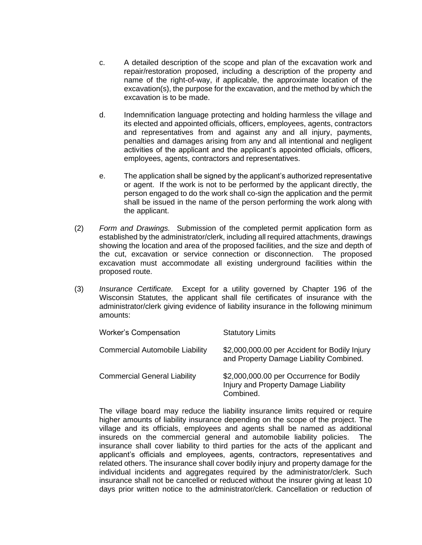- c. A detailed description of the scope and plan of the excavation work and repair/restoration proposed, including a description of the property and name of the right-of-way, if applicable, the approximate location of the excavation(s), the purpose for the excavation, and the method by which the excavation is to be made.
- d. Indemnification language protecting and holding harmless the village and its elected and appointed officials, officers, employees, agents, contractors and representatives from and against any and all injury, payments, penalties and damages arising from any and all intentional and negligent activities of the applicant and the applicant's appointed officials, officers, employees, agents, contractors and representatives.
- e. The application shall be signed by the applicant's authorized representative or agent. If the work is not to be performed by the applicant directly, the person engaged to do the work shall co-sign the application and the permit shall be issued in the name of the person performing the work along with the applicant.
- (2) *Form and Drawings.* Submission of the completed permit application form as established by the administrator/clerk, including all required attachments, drawings showing the location and area of the proposed facilities, and the size and depth of the cut, excavation or service connection or disconnection. The proposed excavation must accommodate all existing underground facilities within the proposed route.
- (3) *Insurance Certificate.*Except for a utility governed by Chapter 196 of the Wisconsin Statutes, the applicant shall file certificates of insurance with the administrator/clerk giving evidence of liability insurance in the following minimum amounts:

| <b>Worker's Compensation</b>           | <b>Statutory Limits</b>                                                                       |
|----------------------------------------|-----------------------------------------------------------------------------------------------|
| <b>Commercial Automobile Liability</b> | \$2,000,000.00 per Accident for Bodily Injury<br>and Property Damage Liability Combined.      |
| <b>Commercial General Liability</b>    | \$2,000,000.00 per Occurrence for Bodily<br>Injury and Property Damage Liability<br>Combined. |

The village board may reduce the liability insurance limits required or require higher amounts of liability insurance depending on the scope of the project. The village and its officials, employees and agents shall be named as additional insureds on the commercial general and automobile liability policies. The insurance shall cover liability to third parties for the acts of the applicant and applicant's officials and employees, agents, contractors, representatives and related others. The insurance shall cover bodily injury and property damage for the individual incidents and aggregates required by the administrator/clerk. Such insurance shall not be cancelled or reduced without the insurer giving at least 10 days prior written notice to the administrator/clerk. Cancellation or reduction of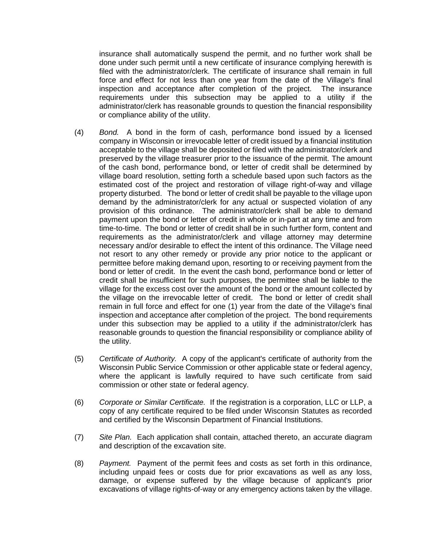insurance shall automatically suspend the permit, and no further work shall be done under such permit until a new certificate of insurance complying herewith is filed with the administrator/clerk. The certificate of insurance shall remain in full force and effect for not less than one year from the date of the Village's final inspection and acceptance after completion of the project. The insurance requirements under this subsection may be applied to a utility if the administrator/clerk has reasonable grounds to question the financial responsibility or compliance ability of the utility.

- (4) *Bond.*A bond in the form of cash, performance bond issued by a licensed company in Wisconsin or irrevocable letter of credit issued by a financial institution acceptable to the village shall be deposited or filed with the administrator/clerk and preserved by the village treasurer prior to the issuance of the permit. The amount of the cash bond, performance bond, or letter of credit shall be determined by village board resolution, setting forth a schedule based upon such factors as the estimated cost of the project and restoration of village right-of-way and village property disturbed. The bond or letter of credit shall be payable to the village upon demand by the administrator/clerk for any actual or suspected violation of any provision of this ordinance. The administrator/clerk shall be able to demand payment upon the bond or letter of credit in whole or in-part at any time and from time-to-time. The bond or letter of credit shall be in such further form, content and requirements as the administrator/clerk and village attorney may determine necessary and/or desirable to effect the intent of this ordinance. The Village need not resort to any other remedy or provide any prior notice to the applicant or permittee before making demand upon, resorting to or receiving payment from the bond or letter of credit. In the event the cash bond, performance bond or letter of credit shall be insufficient for such purposes, the permittee shall be liable to the village for the excess cost over the amount of the bond or the amount collected by the village on the irrevocable letter of credit. The bond or letter of credit shall remain in full force and effect for one (1) year from the date of the Village's final inspection and acceptance after completion of the project. The bond requirements under this subsection may be applied to a utility if the administrator/clerk has reasonable grounds to question the financial responsibility or compliance ability of the utility.
- (5) *Certificate of Authority.* A copy of the applicant's certificate of authority from the Wisconsin Public Service Commission or other applicable state or federal agency, where the applicant is lawfully required to have such certificate from said commission or other state or federal agency.
- (6) *Corporate or Similar Certificate.* If the registration is a corporation, LLC or LLP, a copy of any certificate required to be filed under Wisconsin Statutes as recorded and certified by the Wisconsin Department of Financial Institutions.
- (7) *Site Plan.* Each application shall contain, attached thereto, an accurate diagram and description of the excavation site.
- (8) *Payment.*Payment of the permit fees and costs as set forth in this ordinance, including unpaid fees or costs due for prior excavations as well as any loss, damage, or expense suffered by the village because of applicant's prior excavations of village rights-of-way or any emergency actions taken by the village.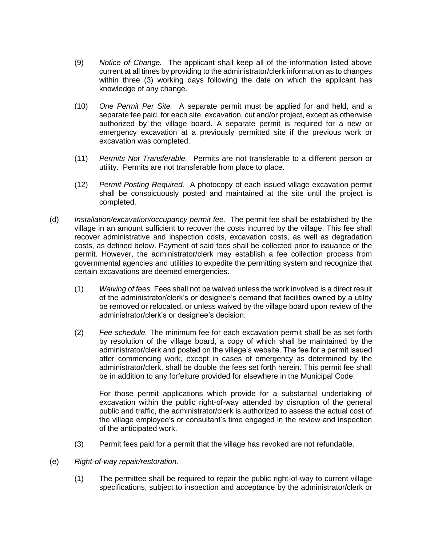- (9) *Notice of Change.*The applicant shall keep all of the information listed above current at all times by providing to the administrator/clerk information as to changes within three (3) working days following the date on which the applicant has knowledge of any change.
- (10) *One Permit Per Site.* A separate permit must be applied for and held, and a separate fee paid, for each site, excavation, cut and/or project, except as otherwise authorized by the village board. A separate permit is required for a new or emergency excavation at a previously permitted site if the previous work or excavation was completed.
- (11) *Permits Not Transferable.* Permits are not transferable to a different person or utility. Permits are not transferable from place to place.
- (12) *Permit Posting Required.* A photocopy of each issued village excavation permit shall be conspicuously posted and maintained at the site until the project is completed.
- (d) *Installation/excavation/occupancy permit fee.* The permit fee shall be established by the village in an amount sufficient to recover the costs incurred by the village. This fee shall recover administrative and inspection costs, excavation costs, as well as degradation costs, as defined below. Payment of said fees shall be collected prior to issuance of the permit. However, the administrator/clerk may establish a fee collection process from governmental agencies and utilities to expedite the permitting system and recognize that certain excavations are deemed emergencies.
	- (1) *Waiving of fees.* Fees shall not be waived unless the work involved is a direct result of the administrator/clerk's or designee's demand that facilities owned by a utility be removed or relocated, or unless waived by the village board upon review of the administrator/clerk's or designee's decision.
	- (2) *Fee schedule.* The minimum fee for each excavation permit shall be as set forth by resolution of the village board, a copy of which shall be maintained by the administrator/clerk and posted on the village's website. The fee for a permit issued after commencing work, except in cases of emergency as determined by the administrator/clerk, shall be double the fees set forth herein. This permit fee shall be in addition to any forfeiture provided for elsewhere in the Municipal Code.

For those permit applications which provide for a substantial undertaking of excavation within the public right-of-way attended by disruption of the general public and traffic, the administrator/clerk is authorized to assess the actual cost of the village employee's or consultant's time engaged in the review and inspection of the anticipated work.

- (3) Permit fees paid for a permit that the village has revoked are not refundable.
- (e) *Right-of-way repair/restoration.*
	- (1) The permittee shall be required to repair the public right-of-way to current village specifications, subject to inspection and acceptance by the administrator/clerk or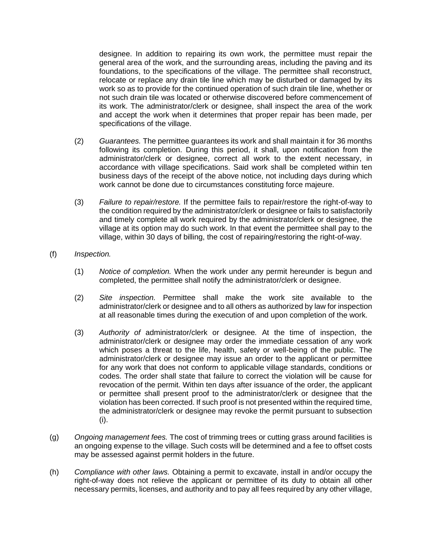designee. In addition to repairing its own work, the permittee must repair the general area of the work, and the surrounding areas, including the paving and its foundations, to the specifications of the village. The permittee shall reconstruct, relocate or replace any drain tile line which may be disturbed or damaged by its work so as to provide for the continued operation of such drain tile line, whether or not such drain tile was located or otherwise discovered before commencement of its work. The administrator/clerk or designee, shall inspect the area of the work and accept the work when it determines that proper repair has been made, per specifications of the village.

- (2) *Guarantees.* The permittee guarantees its work and shall maintain it for 36 months following its completion. During this period, it shall, upon notification from the administrator/clerk or designee, correct all work to the extent necessary, in accordance with village specifications. Said work shall be completed within ten business days of the receipt of the above notice, not including days during which work cannot be done due to circumstances constituting force majeure.
- (3) *Failure to repair/restore.* If the permittee fails to repair/restore the right-of-way to the condition required by the administrator/clerk or designee or fails to satisfactorily and timely complete all work required by the administrator/clerk or designee, the village at its option may do such work. In that event the permittee shall pay to the village, within 30 days of billing, the cost of repairing/restoring the right-of-way.
- (f) *Inspection.*
	- (1) *Notice of completion.* When the work under any permit hereunder is begun and completed, the permittee shall notify the administrator/clerk or designee.
	- (2) *Site inspection.* Permittee shall make the work site available to the administrator/clerk or designee and to all others as authorized by law for inspection at all reasonable times during the execution of and upon completion of the work.
	- (3) *Authority of* administrator/clerk or designee*.* At the time of inspection, the administrator/clerk or designee may order the immediate cessation of any work which poses a threat to the life, health, safety or well-being of the public. The administrator/clerk or designee may issue an order to the applicant or permittee for any work that does not conform to applicable village standards, conditions or codes. The order shall state that failure to correct the violation will be cause for revocation of the permit. Within ten days after issuance of the order, the applicant or permittee shall present proof to the administrator/clerk or designee that the violation has been corrected. If such proof is not presented within the required time, the administrator/clerk or designee may revoke the permit pursuant to subsection (i).
- (g) *Ongoing management fees.* The cost of trimming trees or cutting grass around facilities is an ongoing expense to the village. Such costs will be determined and a fee to offset costs may be assessed against permit holders in the future.
- (h) *Compliance with other laws.* Obtaining a permit to excavate, install in and/or occupy the right-of-way does not relieve the applicant or permittee of its duty to obtain all other necessary permits, licenses, and authority and to pay all fees required by any other village,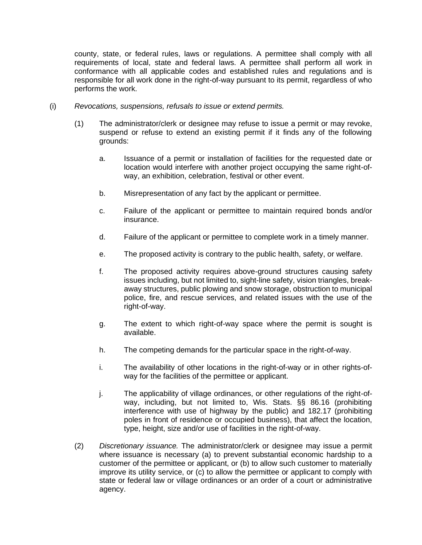county, state, or federal rules, laws or regulations. A permittee shall comply with all requirements of local, state and federal laws. A permittee shall perform all work in conformance with all applicable codes and established rules and regulations and is responsible for all work done in the right-of-way pursuant to its permit, regardless of who performs the work.

- (i) *Revocations, suspensions, refusals to issue or extend permits.*
	- (1) The administrator/clerk or designee may refuse to issue a permit or may revoke, suspend or refuse to extend an existing permit if it finds any of the following grounds:
		- a. Issuance of a permit or installation of facilities for the requested date or location would interfere with another project occupying the same right-ofway, an exhibition, celebration, festival or other event.
		- b. Misrepresentation of any fact by the applicant or permittee.
		- c. Failure of the applicant or permittee to maintain required bonds and/or insurance.
		- d. Failure of the applicant or permittee to complete work in a timely manner.
		- e. The proposed activity is contrary to the public health, safety, or welfare.
		- f. The proposed activity requires above-ground structures causing safety issues including, but not limited to, sight-line safety, vision triangles, breakaway structures, public plowing and snow storage, obstruction to municipal police, fire, and rescue services, and related issues with the use of the right-of-way.
		- g. The extent to which right-of-way space where the permit is sought is available.
		- h. The competing demands for the particular space in the right-of-way.
		- i. The availability of other locations in the right-of-way or in other rights-ofway for the facilities of the permittee or applicant.
		- j. The applicability of village ordinances, or other regulations of the right-ofway, including, but not limited to, Wis. Stats. §§ 86.16 (prohibiting interference with use of highway by the public) and 182.17 (prohibiting poles in front of residence or occupied business), that affect the location, type, height, size and/or use of facilities in the right-of-way.
	- (2) *Discretionary issuance.* The administrator/clerk or designee may issue a permit where issuance is necessary (a) to prevent substantial economic hardship to a customer of the permittee or applicant, or (b) to allow such customer to materially improve its utility service, or (c) to allow the permittee or applicant to comply with state or federal law or village ordinances or an order of a court or administrative agency.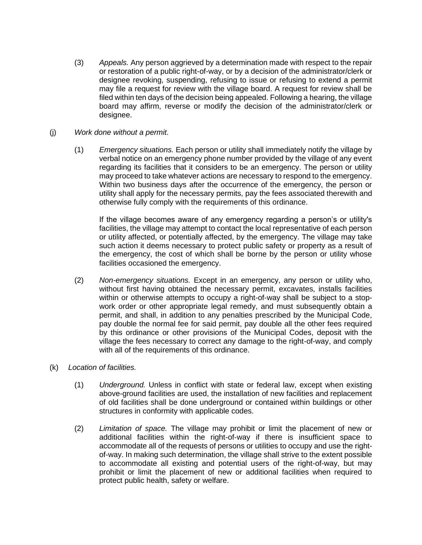- (3) *Appeals.* Any person aggrieved by a determination made with respect to the repair or restoration of a public right-of-way, or by a decision of the administrator/clerk or designee revoking, suspending, refusing to issue or refusing to extend a permit may file a request for review with the village board. A request for review shall be filed within ten days of the decision being appealed. Following a hearing, the village board may affirm, reverse or modify the decision of the administrator/clerk or designee.
- (j) *Work done without a permit.*
	- (1) *Emergency situations.* Each person or utility shall immediately notify the village by verbal notice on an emergency phone number provided by the village of any event regarding its facilities that it considers to be an emergency. The person or utility may proceed to take whatever actions are necessary to respond to the emergency. Within two business days after the occurrence of the emergency, the person or utility shall apply for the necessary permits, pay the fees associated therewith and otherwise fully comply with the requirements of this ordinance.

If the village becomes aware of any emergency regarding a person's or utility's facilities, the village may attempt to contact the local representative of each person or utility affected, or potentially affected, by the emergency. The village may take such action it deems necessary to protect public safety or property as a result of the emergency, the cost of which shall be borne by the person or utility whose facilities occasioned the emergency.

- (2) *Non-emergency situations.* Except in an emergency, any person or utility who, without first having obtained the necessary permit, excavates, installs facilities within or otherwise attempts to occupy a right-of-way shall be subject to a stopwork order or other appropriate legal remedy, and must subsequently obtain a permit, and shall, in addition to any penalties prescribed by the Municipal Code, pay double the normal fee for said permit, pay double all the other fees required by this ordinance or other provisions of the Municipal Codes, deposit with the village the fees necessary to correct any damage to the right-of-way, and comply with all of the requirements of this ordinance.
- (k) *Location of facilities.*
	- (1) *Underground.* Unless in conflict with state or federal law, except when existing above-ground facilities are used, the installation of new facilities and replacement of old facilities shall be done underground or contained within buildings or other structures in conformity with applicable codes.
	- (2) *Limitation of space.* The village may prohibit or limit the placement of new or additional facilities within the right-of-way if there is insufficient space to accommodate all of the requests of persons or utilities to occupy and use the rightof-way. In making such determination, the village shall strive to the extent possible to accommodate all existing and potential users of the right-of-way, but may prohibit or limit the placement of new or additional facilities when required to protect public health, safety or welfare.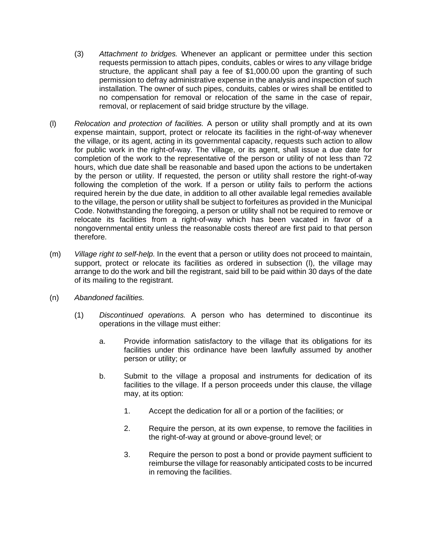- (3) *Attachment to bridges.* Whenever an applicant or permittee under this section requests permission to attach pipes, conduits, cables or wires to any village bridge structure, the applicant shall pay a fee of \$1,000.00 upon the granting of such permission to defray administrative expense in the analysis and inspection of such installation. The owner of such pipes, conduits, cables or wires shall be entitled to no compensation for removal or relocation of the same in the case of repair, removal, or replacement of said bridge structure by the village.
- (l) *Relocation and protection of facilities.* A person or utility shall promptly and at its own expense maintain, support, protect or relocate its facilities in the right-of-way whenever the village, or its agent, acting in its governmental capacity, requests such action to allow for public work in the right-of-way. The village, or its agent, shall issue a due date for completion of the work to the representative of the person or utility of not less than 72 hours, which due date shall be reasonable and based upon the actions to be undertaken by the person or utility. If requested, the person or utility shall restore the right-of-way following the completion of the work. If a person or utility fails to perform the actions required herein by the due date, in addition to all other available legal remedies available to the village, the person or utility shall be subject to forfeitures as provided in the Municipal Code. Notwithstanding the foregoing, a person or utility shall not be required to remove or relocate its facilities from a right-of-way which has been vacated in favor of a nongovernmental entity unless the reasonable costs thereof are first paid to that person therefore.
- (m) *Village right to self-help.* In the event that a person or utility does not proceed to maintain, support, protect or relocate its facilities as ordered in subsection (l), the village may arrange to do the work and bill the registrant, said bill to be paid within 30 days of the date of its mailing to the registrant.
- (n) *Abandoned facilities.*
	- (1) *Discontinued operations.* A person who has determined to discontinue its operations in the village must either:
		- a. Provide information satisfactory to the village that its obligations for its facilities under this ordinance have been lawfully assumed by another person or utility; or
		- b. Submit to the village a proposal and instruments for dedication of its facilities to the village. If a person proceeds under this clause, the village may, at its option:
			- 1. Accept the dedication for all or a portion of the facilities; or
			- 2. Require the person, at its own expense, to remove the facilities in the right-of-way at ground or above-ground level; or
			- 3. Require the person to post a bond or provide payment sufficient to reimburse the village for reasonably anticipated costs to be incurred in removing the facilities.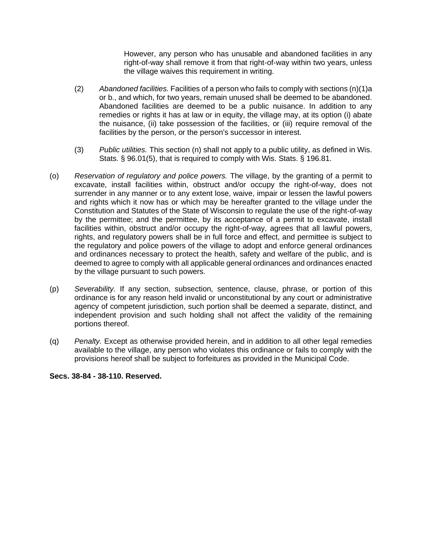However, any person who has unusable and abandoned facilities in any right-of-way shall remove it from that right-of-way within two years, unless the village waives this requirement in writing.

- (2) *Abandoned facilities.* Facilities of a person who fails to comply with sections (n)(1)a or b., and which, for two years, remain unused shall be deemed to be abandoned. Abandoned facilities are deemed to be a public nuisance. In addition to any remedies or rights it has at law or in equity, the village may, at its option (i) abate the nuisance, (ii) take possession of the facilities, or (iii) require removal of the facilities by the person, or the person's successor in interest.
- (3) *Public utilities.* This section (n) shall not apply to a public utility, as defined in Wis. Stats. § 96.01(5), that is required to comply with Wis. Stats. § 196.81.
- (o) *Reservation of regulatory and police powers.* The village, by the granting of a permit to excavate, install facilities within, obstruct and/or occupy the right-of-way, does not surrender in any manner or to any extent lose, waive, impair or lessen the lawful powers and rights which it now has or which may be hereafter granted to the village under the Constitution and Statutes of the State of Wisconsin to regulate the use of the right-of-way by the permittee; and the permittee, by its acceptance of a permit to excavate, install facilities within, obstruct and/or occupy the right-of-way, agrees that all lawful powers, rights, and regulatory powers shall be in full force and effect, and permittee is subject to the regulatory and police powers of the village to adopt and enforce general ordinances and ordinances necessary to protect the health, safety and welfare of the public, and is deemed to agree to comply with all applicable general ordinances and ordinances enacted by the village pursuant to such powers.
- (p) *Severability.* If any section, subsection, sentence, clause, phrase, or portion of this ordinance is for any reason held invalid or unconstitutional by any court or administrative agency of competent jurisdiction, such portion shall be deemed a separate, distinct, and independent provision and such holding shall not affect the validity of the remaining portions thereof.
- (q) *Penalty.* Except as otherwise provided herein, and in addition to all other legal remedies available to the village, any person who violates this ordinance or fails to comply with the provisions hereof shall be subject to forfeitures as provided in the Municipal Code.

### **Secs. 38-84 - 38-110. Reserved.**